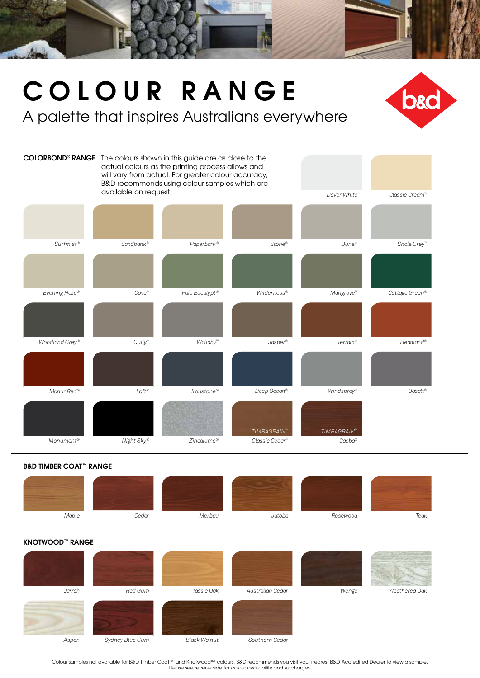

## COLOUR RANGE

A palette that inspires Australians everywhere



B&D TIMBER COAT™ RANGE



KNOTWOOD™ RANGE



Colour samples not available for B&D Timber Coat™ and Knotwood™ colours. B&D recommends you visit your nearest B&D Accredited Dealer to view a sample. Please see reverse side for colour availability and surcharges.